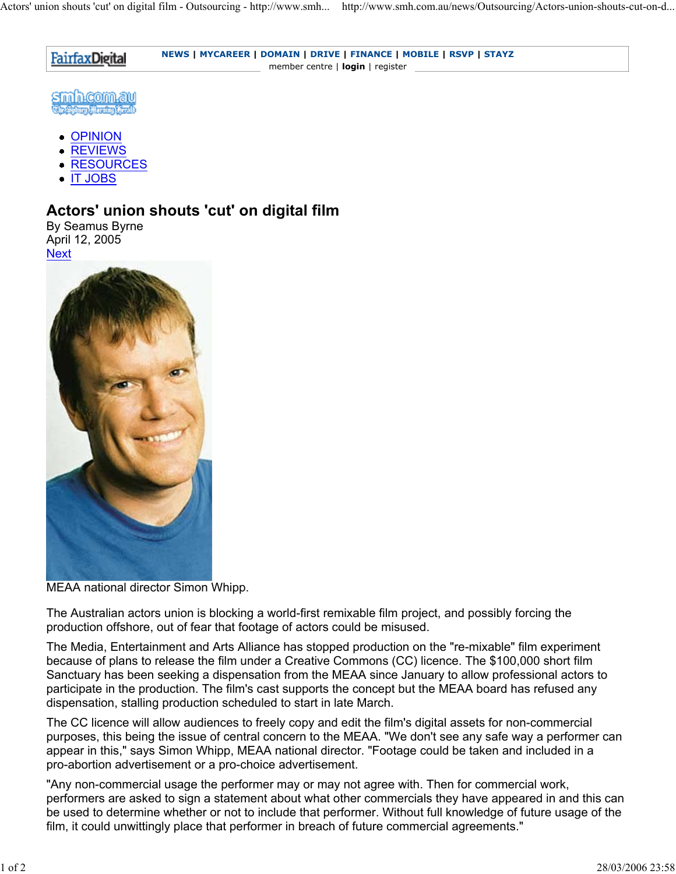**NEWS | MYCAREER | DOMAIN | DRIVE | FINANCE | MOBILE | RSVP | STAYZ FairfaxDigital** member centre | **login** | register

smhcomau <u> (استراوش الزور بالزوم)</u>

- OPINION
- **REVIEWS**
- **RESOURCES**
- IT JOBS

## **Actors' union shouts 'cut' on digital film**

By Seamus Byrne April 12, 2005 **Next** 



MEAA national director Simon Whipp.

The Australian actors union is blocking a world-first remixable film project, and possibly forcing the production offshore, out of fear that footage of actors could be misused.

The Media, Entertainment and Arts Alliance has stopped production on the "re-mixable" film experiment because of plans to release the film under a Creative Commons (CC) licence. The \$100,000 short film Sanctuary has been seeking a dispensation from the MEAA since January to allow professional actors to participate in the production. The film's cast supports the concept but the MEAA board has refused any dispensation, stalling production scheduled to start in late March.

The CC licence will allow audiences to freely copy and edit the film's digital assets for non-commercial purposes, this being the issue of central concern to the MEAA. "We don't see any safe way a performer can appear in this," says Simon Whipp, MEAA national director. "Footage could be taken and included in a pro-abortion advertisement or a pro-choice advertisement.

"Any non-commercial usage the performer may or may not agree with. Then for commercial work, performers are asked to sign a statement about what other commercials they have appeared in and this can be used to determine whether or not to include that performer. Without full knowledge of future usage of the film, it could unwittingly place that performer in breach of future commercial agreements."